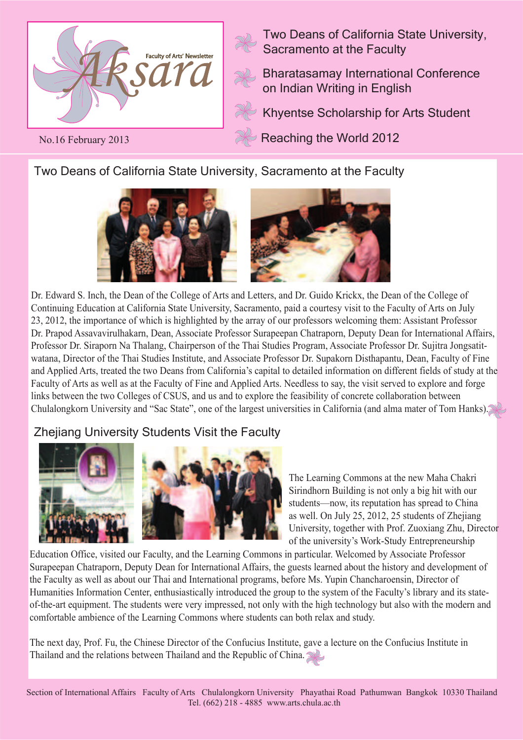

No.16 February 2013

Two Deans of California State University, Sacramento at the Faculty

Bharatasamay International Conference on Indian Writing in English

Khyentse Scholarship for Arts Student

Reaching the World 2012

Two Deans of California State University, Sacramento at the Faculty



Dr. Edward S. Inch, the Dean of the College of Arts and Letters, and Dr. Guido Krickx, the Dean of the College of Continuing Education at California State University, Sacramento, paid a courtesy visit to the Faculty of Arts on July 23, 2012, the importance of which is highlighted by the array of our professors welcoming them: Assistant Professor Dr. Prapod Assavavirulhakarn, Dean, Associate Professor Surapeepan Chatraporn, Deputy Dean for International Affairs, Professor Dr. Siraporn Na Thalang, Chairperson of the Thai Studies Program, Associate Professor Dr. Sujitra Jongsatitwatana, Director of the Thai Studies Institute, and Associate Professor Dr. Supakorn Disthapantu, Dean, Faculty of Fine and Applied Arts, treated the two Deans from California's capital to detailed information on different fields of study at the Faculty of Arts as well as at the Faculty of Fine and Applied Arts. Needless to say, the visit served to explore and forge links between the two Colleges of CSUS, and us and to explore the feasibility of concrete collaboration between Chulalongkorn University and "Sac State", one of the largest universities in California (and alma mater of Tom Hanks).

# Zhejiang University Students Visit the Faculty



The Learning Commons at the new Maha Chakri Sirindhorn Building is not only a big hit with our students—now, its reputation has spread to China as well. On July 25, 2012, 25 students of Zhejiang University, together with Prof. Zuoxiang Zhu, Director of the university's Work-Study Entrepreneurship

Education Office, visited our Faculty, and the Learning Commons in particular. Welcomed by Associate Professor Surapeepan Chatraporn, Deputy Dean for International Affairs, the guests learned about the history and development of the Faculty as well as about our Thai and International programs, before Ms. Yupin Chancharoensin, Director of Humanities Information Center, enthusiastically introduced the group to the system of the Faculty's library and its stateof-the-art equipment. The students were very impressed, not only with the high technology but also with the modern and comfortable ambience of the Learning Commons where students can both relax and study.

The next day, Prof. Fu, the Chinese Director of the Confucius Institute, gave a lecture on the Confucius Institute in Thailand and the relations between Thailand and the Republic of China.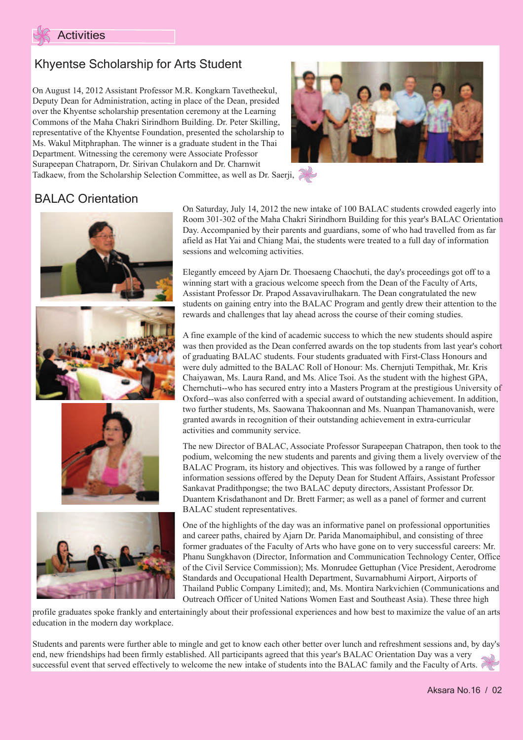

## Khyentse Scholarship for Arts Student

On August 14, 2012 Assistant Professor M.R. Kongkarn Tavetheekul, Deputy Dean for Administration, acting in place of the Dean, presided over the Khyentse scholarship presentation ceremony at the Learning Commons of the Maha Chakri Sirindhorn Building. Dr. Peter Skilling, representative of the Khyentse Foundation, presented the scholarship to Ms. Wakul Mitphraphan. The winner is a graduate student in the Thai Department. Witnessing the ceremony were Associate Professor Surapeepan Chatraporn, Dr. Sirivan Chulakorn and Dr. Charnwit Tadkaew, from the Scholarship Selection Committee, as well as Dr. Saerji,



### **BALAC Orientation**



On Saturday, July 14, 2012 the new intake of 100 BALAC students crowded eagerly into Room 301-302 of the Maha Chakri Sirindhorn Building for this year's BALAC Orientation Day. Accompanied by their parents and guardians, some of who had travelled from as far afield as Hat Yai and Chiang Mai, the students were treated to a full day of information sessions and welcoming activities.

Elegantly emceed by Ajarn Dr. Thoesaeng Chaochuti, the day's proceedings got off to a winning start with a gracious welcome speech from the Dean of the Faculty of Arts, Assistant Professor Dr. Prapod Assavavirulhakarn. The Dean congratulated the new students on gaining entry into the BALAC Program and gently drew their attention to the rewards and challenges that lay ahead across the course of their coming studies.

A fine example of the kind of academic success to which the new students should aspire was then provided as the Dean conferred awards on the top students from last year's cohort of graduating BALAC students. Four students graduated with First-Class Honours and were duly admitted to the BALAC Roll of Honour: Ms. Chernjuti Tempithak, Mr. Kris Chaiyawan, Ms. Laura Rand, and Ms. Alice Tsoi. As the student with the highest GPA, Chernchuti--who has secured entry into a Masters Program at the prestigious University of Oxford--was also conferred with a special award of outstanding achievement. In addition, two further students, Ms. Saowana Thakoonnan and Ms. Nuanpan Thamanovanish, were granted awards in recognition of their outstanding achievement in extra-curricular activities and community service.

The new Director of BALAC, Associate Professor Surapeepan Chatrapon, then took to the podium, welcoming the new students and parents and giving them a lively overview of the BALAC Program, its history and objectives. This was followed by a range of further information sessions offered by the Deputy Dean for Student Affairs, Assistant Professor Sankavat Pradithpongse; the two BALAC deputy directors, Assistant Professor Dr. Duantem Krisdathanont and Dr. Brett Farmer; as well as a panel of former and current BALAC student representatives.

One of the highlights of the day was an informative panel on professional opportunities and career paths, chaired by Ajarn Dr. Parida Manomaiphibul, and consisting of three former graduates of the Faculty of Arts who have gone on to very successful careers: Mr. Phanu Sungkhavon (Director, Information and Communication Technology Center, Office of the Civil Service Commission); Ms. Monrudee Gettuphan (Vice President, Aerodrome Standards and Occupational Health Department, Suvarnabhumi Airport, Airports of Thailand Public Company Limited); and, Ms. Montira Narkvichien (Communications and Outreach Officer of United Nations Women East and Southeast Asia). These three high

profile graduates spoke frankly and entertainingly about their professional experiences and how best to maximize the value of an arts education in the modern day workplace.

Students and parents were further able to mingle and get to know each other better over lunch and refreshment sessions and, by day's end, new friendships had been firmly established. All participants agreed that this year's BALAC Orientation Day was a very successful event that served effectively to welcome the new intake of students into the BALAC family and the Faculty of Arts.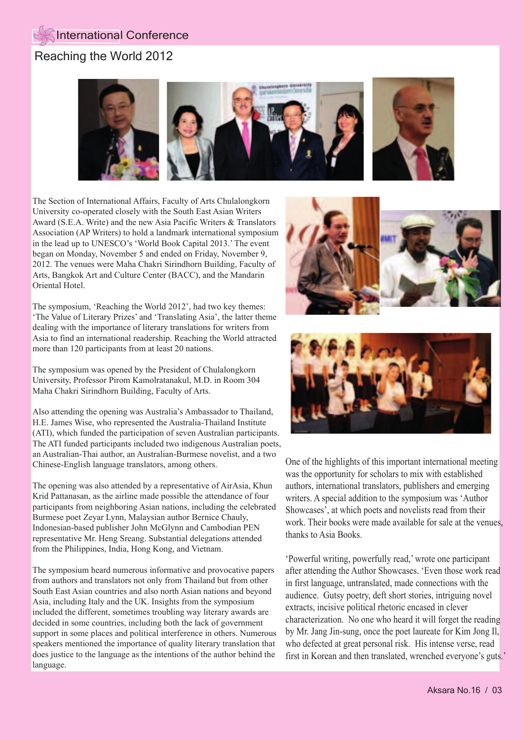## Reaching the World 2012



The Section of International Affairs, Faculty of Arts Chulalongkorn University co-operated closely with the South East Asian Writers Award (S.E.A. Write) and the new Asia Pacific Writers & Translators Association (AP Writers) to hold a landmark international symposium in the lead up to UNESCO's 'World Book Capital 2013.' The event began on Monday, November 5 and ended on Friday, November 9, 2012. The venues were Maha Chakri Sirindhorn Building, Faculty of Arts, Bangkok Art and Culture Center (BACC), and the Mandarin Oriental Hotel.

The symposium, 'Reaching the World 2012', had two key themes: 'The Value of Literary Prizes' and 'Translating Asia', the latter theme dealing with the importance of literary translations for writers from Asia to find an international readership. Reaching the World attracted more than 120 participants from at least 20 nations.

The symposium was opened by the President of Chulalongkorn University, Professor Pirom Kamolratanakul, M.D. in Room 304 Maha Chakri Sirindhorn Building, Faculty of Arts.

Also attending the opening was Australia's Ambassador to Thailand, H.E. James Wise, who represented the Australia-Thailand Institute (ATI), which funded the participation of seven Australian participants. The ATI funded participants included two indigenous Australian poets, an Australian-Thai author, an Australian-Burmese novelist, and a two Chinese-English language translators, among others.

The opening was also attended by a representative of AirAsia, Khun Krid Pattanasan, as the airline made possible the attendance of four participants from neighboring Asian nations, including the celebrated Burmese poet Zeyar Lynn, Malaysian author Bernice Chauly, Indonesian-based publisher John McGlynn and Cambodian PEN representative Mr. Heng Sreang. Substantial delegations attended from the Philippines, India, Hong Kong, and Vietnam.

The symposium heard numerous informative and provocative papers from authors and translators not only from Thailand but from other South East Asian countries and also north Asian nations and beyond Asia, including Italy and the UK. Insights from the symposium included the different, sometimes troubling way literary awards are decided in some countries, including both the lack of government support in some places and political interference in others. Numerous speakers mentioned the importance of quality literary translation that does justice to the language as the intentions of the author behind the language.





One of the highlights of this important international meeting was the opportunity for scholars to mix with established authors, international translators, publishers and emerging writers. A special addition to the symposium was 'Author Showcases', at which poets and novelists read from their work. Their books were made available for sale at the venues, thanks to Asia Books.

'Powerful writing, powerfully read,' wrote one participant after attending the Author Showcases. 'Even those work read in first language, untranslated, made connections with the audience. Gutsy poetry, deft short stories, intriguing novel extracts, incisive political rhetoric encased in clever characterization. No one who heard it will forget the reading by Mr. Jang Jin-sung, once the poet laureate for Kim Jong Il, who defected at great personal risk. His intense verse, read first in Korean and then translated, wrenched everyone's guts.'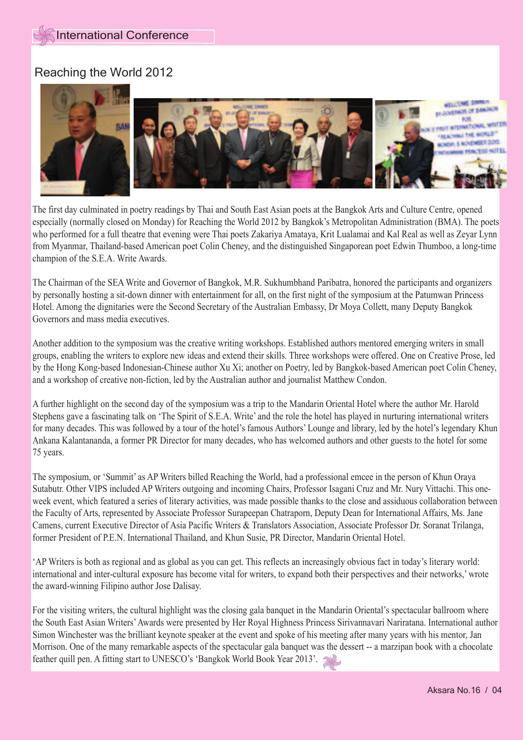#### Reaching the World 2012



The first day culminated in poetry readings by Thai and South East Asian poets at the Bangkok Arts and Culture Centre, opened especially (normally closed on Monday) for Reaching the World 2012 by Bangkok's Metropolitan Administration (BMA). The poets who performed for a full theatre that evening were Thai poets Zakariya Amataya, Krit Lualamai and Kal Real as well as Zeyar Lynn from Myanmar, Thailand-based American poet Colin Cheney, and the distinguished Singaporean poet Edwin Thumboo, a long-time champion of the S.E.A. Write Awards.

The Chairman of the SEA Write and Governor of Bangkok, M.R. Sukhumbhand Paribatra, honored the participants and organizers by personally hosting a sit-down dinner with entertainment for all, on the first night of the symposium at the Patumwan Princess Hotel. Among the dignitaries were the Second Secretary of the Australian Embassy, Dr Moya Collett, many Deputy Bangkok Governors and mass media executives.

Another addition to the symposium was the creative writing workshops. Established authors mentored emerging writers in small groups, enabling the writers to explore new ideas and extend their skills. Three workshops were offered. One on Creative Prose, led by the Hong Kong-based Indonesian-Chinese author Xu Xi; another on Poetry, led by Bangkok-based American poet Colin Cheney, and a workshop of creative non-fiction, led by the Australian author and journalist Matthew Condon.

A further highlight on the second day of the symposium was a trip to the Mandarin Oriental Hotel where the author Mr. Harold Stephens gave a fascinating talk on 'The Spirit of S.E.A. Write' and the role the hotel has played in nurturing international writers for many decades. This was followed by a tour of the hotel's famous Authors' Lounge and library, led by the hotel's legendary Khun Ankana Kalantananda, a former PR Director for many decades, who has welcomed authors and other guests to the hotel for some 75 years.

The symposium, or 'Summit' as AP Writers billed Reaching the World, had a professional emcee in the person of Khun Oraya Sutabutr. Other VIPS included AP Writers outgoing and incoming Chairs, Professor Isagani Cruz and Mr. Nury Vittachi. This oneweek event, which featured a series of literary activities, was made possible thanks to the close and assiduous collaboration between the Faculty of Arts, represented by Associate Professor Surapeepan Chatraporn, Deputy Dean for International Affairs, Ms. Jane Camens, current Executive Director of Asia Pacific Writers & Translators Association, Associate Professor Dr. Soranat Trilanga, former President of P.E.N. International Thailand, and Khun Susie, PR Director, Mandarin Oriental Hotel.

'AP Writers is both as regional and as global as you can get. This reflects an increasingly obvious fact in today's literary world: international and inter-cultural exposure has become vital for writers, to expand both their perspectives and their networks,' wrote the award-winning Filipino author Jose Dalisay.

For the visiting writers, the cultural highlight was the closing gala banquet in the Mandarin Oriental's spectacular ballroom where the South East Asian Writers' Awards were presented by Her Royal Highness Princess Sirivannavari Nariratana. International author Simon Winchester was the brilliant keynote speaker at the event and spoke of his meeting after many years with his mentor, Jan Morrison. One of the many remarkable aspects of the spectacular gala banquet was the dessert -- a marzipan book with a chocolate feather quill pen. A fitting start to UNESCO's 'Bangkok World Book Year 2013'.